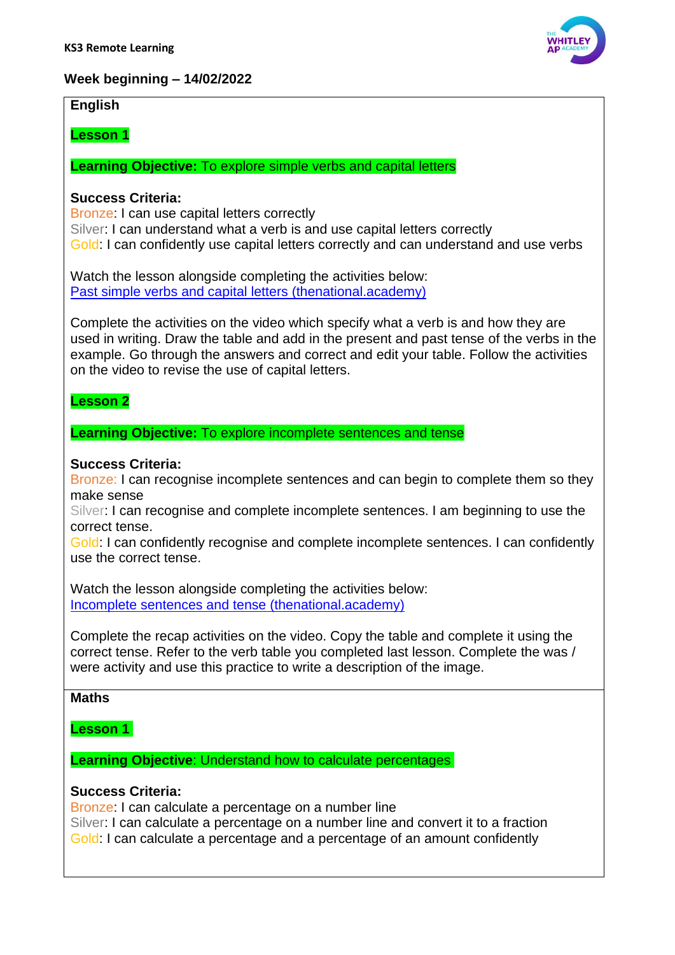

# **Week beginning – 14/02/2022**

# **English**

# **Lesson 1**

**Learning Objective:** To explore simple verbs and capital letters

# **Success Criteria:**

Bronze: I can use capital letters correctly Silver: I can understand what a verb is and use capital letters correctly Gold: I can confidently use capital letters correctly and can understand and use verbs

Watch the lesson alongside completing the activities below: [Past simple verbs and capital letters \(thenational.academy\)](https://classroom.thenational.academy/lessons/past-simple-verbs-and-capital-letters-6xk30e?activity=video&step=1)

Complete the activities on the video which specify what a verb is and how they are used in writing. Draw the table and add in the present and past tense of the verbs in the example. Go through the answers and correct and edit your table. Follow the activities on the video to revise the use of capital letters.

# **Lesson 2**

# **Learning Objective:** To explore incomplete sentences and tense

# **Success Criteria:**

Bronze: I can recognise incomplete sentences and can begin to complete them so they make sense

Silver: I can recognise and complete incomplete sentences. I am beginning to use the correct tense.

Gold: I can confidently recognise and complete incomplete sentences. I can confidently use the correct tense.

Watch the lesson alongside completing the activities below: [Incomplete sentences and tense \(thenational.academy\)](https://classroom.thenational.academy/lessons/incomplete-sentences-and-tense-c8tp2d?activity=video&step=2&view=1)

Complete the recap activities on the video. Copy the table and complete it using the correct tense. Refer to the verb table you completed last lesson. Complete the was / were activity and use this practice to write a description of the image.

## **Maths**

## **Lesson 1**

**Learning Objective: Understand how to calculate percentages** 

## **Success Criteria:**

Bronze: I can calculate a percentage on a number line Silver: I can calculate a percentage on a number line and convert it to a fraction Gold: I can calculate a percentage and a percentage of an amount confidently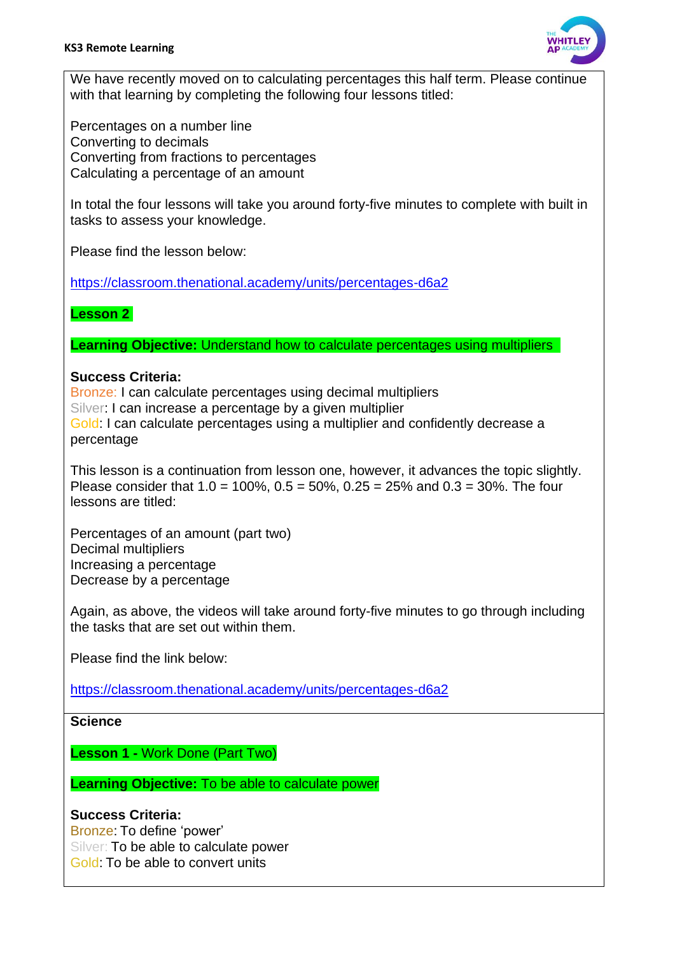

We have recently moved on to calculating percentages this half term. Please continue with that learning by completing the following four lessons titled:

Percentages on a number line Converting to decimals Converting from fractions to percentages Calculating a percentage of an amount

In total the four lessons will take you around forty-five minutes to complete with built in tasks to assess your knowledge.

Please find the lesson below:

<https://classroom.thenational.academy/units/percentages-d6a2>

# **Lesson 2**

**Learning Objective:** Understand how to calculate percentages using multipliers

## **Success Criteria:**

Bronze: I can calculate percentages using decimal multipliers Silver: I can increase a percentage by a given multiplier Gold: I can calculate percentages using a multiplier and confidently decrease a percentage

This lesson is a continuation from lesson one, however, it advances the topic slightly. Please consider that  $1.0 = 100\%$ ,  $0.5 = 50\%$ ,  $0.25 = 25\%$  and  $0.3 = 30\%$ . The four lessons are titled:

Percentages of an amount (part two) Decimal multipliers Increasing a percentage Decrease by a percentage

Again, as above, the videos will take around forty-five minutes to go through including the tasks that are set out within them.

Please find the link below:

<https://classroom.thenational.academy/units/percentages-d6a2>

## **Science**

**Lesson 1 -** Work Done (Part Two)

**Learning Objective:** To be able to calculate power

# **Success Criteria:**

Bronze: To define 'power' Silver: To be able to calculate power Gold: To be able to convert units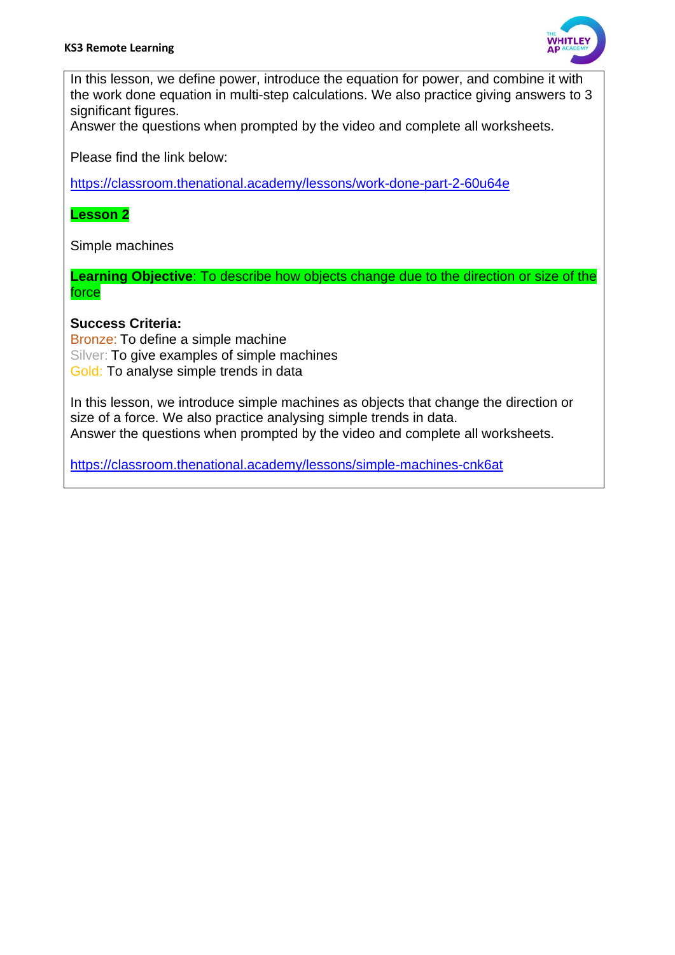

In this lesson, we define power, introduce the equation for power, and combine it with the work done equation in multi-step calculations. We also practice giving answers to 3 significant figures.

Answer the questions when prompted by the video and complete all worksheets.

Please find the link below:

<https://classroom.thenational.academy/lessons/work-done-part-2-60u64e>

#### **Lesson 2**

Simple machines

**Learning Objective**: To describe how objects change due to the direction or size of the force

## **Success Criteria:**

Bronze: To define a simple machine Silver: To give examples of simple machines Gold: To analyse simple trends in data

In this lesson, we introduce simple machines as objects that change the direction or size of a force. We also practice analysing simple trends in data. Answer the questions when prompted by the video and complete all worksheets.

<https://classroom.thenational.academy/lessons/simple-machines-cnk6at>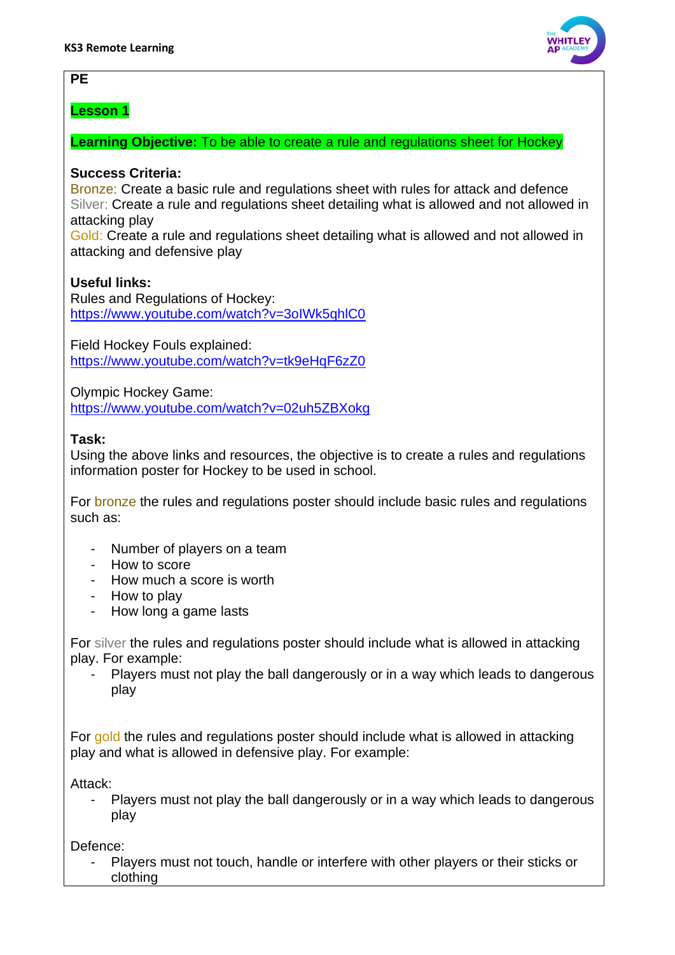# **PE**

# **Lesson 1**

# **Learning Objective:** To be able to create a rule and regulations sheet for Hockey

# **Success Criteria:**

Bronze: Create a basic rule and regulations sheet with rules for attack and defence Silver: Create a rule and regulations sheet detailing what is allowed and not allowed in attacking play

Gold: Create a rule and regulations sheet detailing what is allowed and not allowed in attacking and defensive play

# **Useful links:**

Rules and Regulations of Hockey: <https://www.youtube.com/watch?v=3oIWk5qhlC0>

Field Hockey Fouls explained: <https://www.youtube.com/watch?v=tk9eHqF6zZ0>

Olympic Hockey Game: <https://www.youtube.com/watch?v=02uh5ZBXokg>

## **Task:**

Using the above links and resources, the objective is to create a rules and regulations information poster for Hockey to be used in school.

For bronze the rules and regulations poster should include basic rules and regulations such as:

- Number of players on a team
- How to score
- How much a score is worth
- How to play
- How long a game lasts

For silver the rules and regulations poster should include what is allowed in attacking play. For example:

Players must not play the ball dangerously or in a way which leads to dangerous play

For gold the rules and regulations poster should include what is allowed in attacking play and what is allowed in defensive play. For example:

Attack:

- Players must not play the ball dangerously or in a way which leads to dangerous play

Defence:

Players must not touch, handle or interfere with other players or their sticks or clothing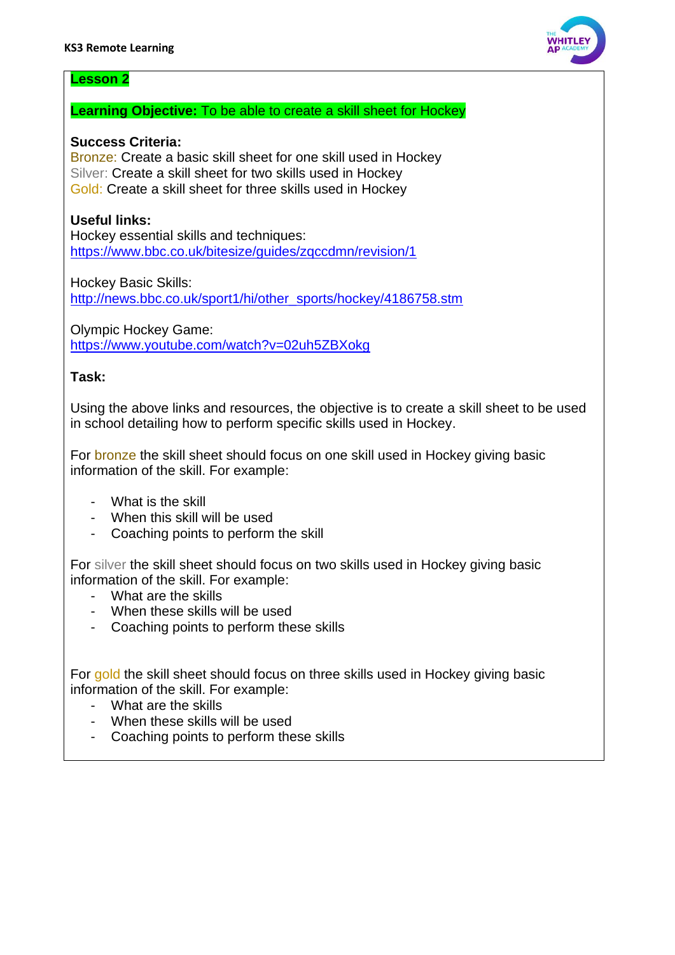

## **Lesson 2**

#### **Learning Objective:** To be able to create a skill sheet for Hockey

#### **Success Criteria:**

Bronze: Create a basic skill sheet for one skill used in Hockey Silver: Create a skill sheet for two skills used in Hockey Gold: Create a skill sheet for three skills used in Hockey

## **Useful links:**

Hockey essential skills and techniques: <https://www.bbc.co.uk/bitesize/guides/zqccdmn/revision/1>

Hockey Basic Skills: [http://news.bbc.co.uk/sport1/hi/other\\_sports/hockey/4186758.stm](http://news.bbc.co.uk/sport1/hi/other_sports/hockey/4186758.stm)

Olympic Hockey Game: <https://www.youtube.com/watch?v=02uh5ZBXokg>

#### **Task:**

Using the above links and resources, the objective is to create a skill sheet to be used in school detailing how to perform specific skills used in Hockey.

For bronze the skill sheet should focus on one skill used in Hockey giving basic information of the skill. For example:

- What is the skill
- When this skill will be used
- Coaching points to perform the skill

For silver the skill sheet should focus on two skills used in Hockey giving basic information of the skill. For example:

- What are the skills
- When these skills will be used
- Coaching points to perform these skills

For gold the skill sheet should focus on three skills used in Hockey giving basic information of the skill. For example:

- What are the skills
- When these skills will be used
- Coaching points to perform these skills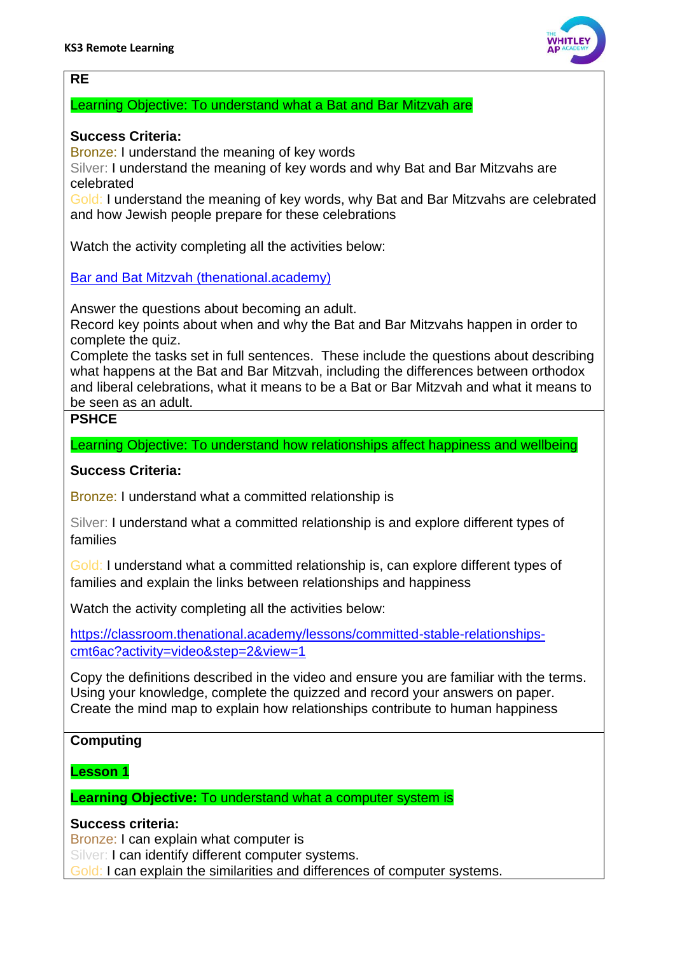

## **RE**

#### Learning Objective: To understand what a Bat and Bar Mitzvah are

## **Success Criteria:**

Bronze: I understand the meaning of key words

Silver: I understand the meaning of key words and why Bat and Bar Mitzvahs are celebrated

Gold: I understand the meaning of key words, why Bat and Bar Mitzvahs are celebrated and how Jewish people prepare for these celebrations

Watch the activity completing all the activities below:

[Bar and Bat Mitzvah \(thenational.academy\)](https://classroom.thenational.academy/lessons/bar-and-bat-mitzvah-6xk6at?activity=video&step=2&view=1)

Answer the questions about becoming an adult.

Record key points about when and why the Bat and Bar Mitzvahs happen in order to complete the quiz.

Complete the tasks set in full sentences. These include the questions about describing what happens at the Bat and Bar Mitzvah, including the differences between orthodox and liberal celebrations, what it means to be a Bat or Bar Mitzvah and what it means to be seen as an adult.

# **PSHCE**

Learning Objective: To understand how relationships affect happiness and wellbeing

#### **Success Criteria:**

Bronze: I understand what a committed relationship is

Silver: I understand what a committed relationship is and explore different types of families

Gold: I understand what a committed relationship is, can explore different types of families and explain the links between relationships and happiness

Watch the activity completing all the activities below:

[https://classroom.thenational.academy/lessons/committed-stable-relationships](https://classroom.thenational.academy/lessons/committed-stable-relationships-cmt6ac?activity=video&step=2&view=1)[cmt6ac?activity=video&step=2&view=1](https://classroom.thenational.academy/lessons/committed-stable-relationships-cmt6ac?activity=video&step=2&view=1) 

Copy the definitions described in the video and ensure you are familiar with the terms. Using your knowledge, complete the quizzed and record your answers on paper. Create the mind map to explain how relationships contribute to human happiness

#### **Computing**

**Lesson 1**

**Learning Objective:** To understand what a computer system is

## **Success criteria:**

Bronze: I can explain what computer is

Silver: I can identify different computer systems.

Gold: I can explain the similarities and differences of computer systems.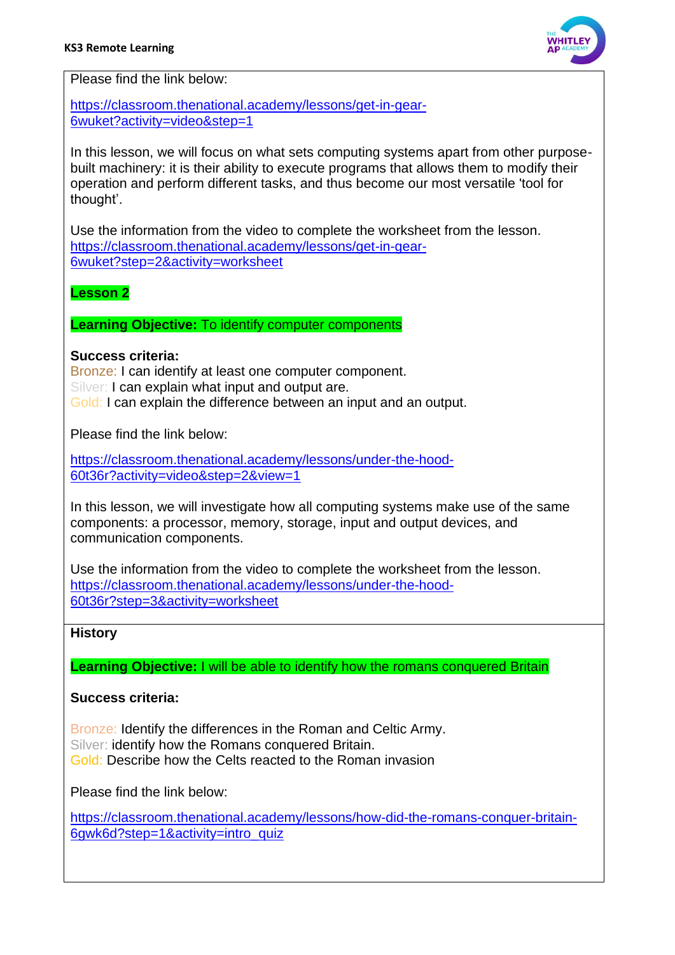

Please find the link below[:](https://classroom.thenational.academy/lessons/get-in-gear-6wuket?activity=video&step=1)

[https://classroom.thenational.academy/lessons/get-in-gear-](https://classroom.thenational.academy/lessons/get-in-gear-6wuket?activity=video&step=1)[6wuket?activity=video&step=1](https://classroom.thenational.academy/lessons/get-in-gear-6wuket?activity=video&step=1)

In this lesson, we will focus on what sets computing systems apart from other purposebuilt machinery: it is their ability to execute programs that allows them to modify their operation and perform different tasks, and thus become our most versatile 'tool for thought'.

Use the information from the video to complete the worksheet from the lesson. [https://classroom.thenational.academy/lessons/get-in-gear-](https://classroom.thenational.academy/lessons/get-in-gear-6wuket?step=2&activity=worksheet)[6wuket?step=2&activity=worksheet](https://classroom.thenational.academy/lessons/get-in-gear-6wuket?step=2&activity=worksheet)

# **Lesson 2**

**Learning Objective:** To identify computer components

#### **Success criteria:**

Bronze: I can identify at least one computer component. Silver: I can explain what input and output are. Gold: I can explain the difference between an input and an output.

Please find the link below:

[https://classroom.thenational.academy/lessons/under-the-hood-](https://classroom.thenational.academy/lessons/under-the-hood-60t36r?activity=video&step=2&view=1)[60t36r?activity=video&step=2&view=1](https://classroom.thenational.academy/lessons/under-the-hood-60t36r?activity=video&step=2&view=1)

In this lesson, we will investigate how all computing systems make use of the same components: a processor, memory, storage, input and output devices, and communication components.

Use the information from the video to complete the worksheet from the lesson. [https://classroom.thenational.academy/lessons/under-the-hood-](https://classroom.thenational.academy/lessons/under-the-hood-60t36r?step=3&activity=worksheet)[60t36r?step=3&activity=worksheet](https://classroom.thenational.academy/lessons/under-the-hood-60t36r?step=3&activity=worksheet)

## **History**

**Learning Objective:** I will be able to identify how the romans conquered Britain

## **Success criteria:**

Bronze: Identify the differences in the Roman and Celtic Army. Silver: identify how the Romans conquered Britain. Gold: Describe how the Celts reacted to the Roman invasion

Please find the link below:

[https://classroom.thenational.academy/lessons/how-did-the-romans-conquer-britain-](https://classroom.thenational.academy/lessons/how-did-the-romans-conquer-britain-6gwk6d?step=1&activity=intro_quiz)[6gwk6d?step=1&activity=intro\\_quiz](https://classroom.thenational.academy/lessons/how-did-the-romans-conquer-britain-6gwk6d?step=1&activity=intro_quiz)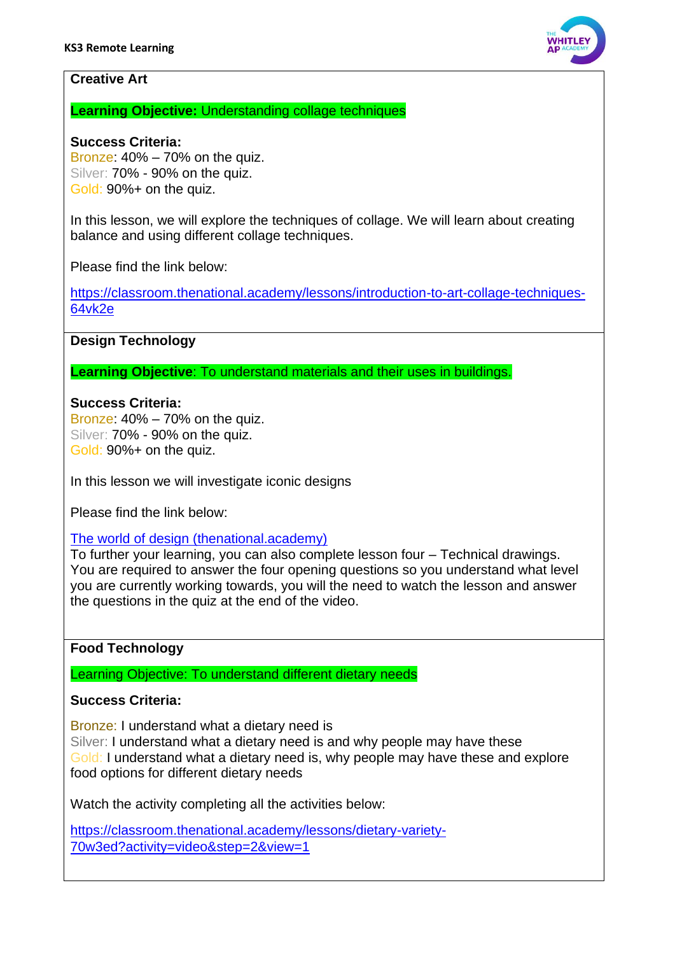

## **Creative Art**

**Learning Objective:** Understanding collage techniques

#### **Success Criteria:**

Bronze: 40% – 70% on the quiz. Silver: 70% - 90% on the quiz. Gold: 90%+ on the quiz.

In this lesson, we will explore the techniques of collage. We will learn about creating balance and using different collage techniques.

Please find the link below:

[https://classroom.thenational.academy/lessons/introduction-to-art-collage-techniques-](https://classroom.thenational.academy/lessons/introduction-to-art-collage-techniques-64vk2e)[64vk2e](https://classroom.thenational.academy/lessons/introduction-to-art-collage-techniques-64vk2e)

# **Design Technology**

**Learning Objective**: To understand materials and their uses in buildings.

#### **Success Criteria:**

Bronze: 40% – 70% on the quiz. Silver: 70% - 90% on the quiz. Gold: 90%+ on the quiz.

In this lesson we will investigate iconic designs

Please find the link below:

[The world of design \(thenational.academy\)](https://classroom.thenational.academy/lessons/the-world-of-design-60r34t)

To further your learning, you can also complete lesson four – Technical drawings. You are required to answer the four opening questions so you understand what level you are currently working towards, you will the need to watch the lesson and answer the questions in the quiz at the end of the video.

## **Food Technology**

Learning Objective: To understand different dietary needs

## **Success Criteria:**

Bronze: I understand what a dietary need is

Silver: I understand what a dietary need is and why people may have these Gold: I understand what a dietary need is, why people may have these and explore food options for different dietary needs

Watch the activity completing all the activities below:

[https://classroom.thenational.academy/lessons/dietary-variety-](https://classroom.thenational.academy/lessons/dietary-variety-70w3ed?activity=video&step=2&view=1)[70w3ed?activity=video&step=2&view=1](https://classroom.thenational.academy/lessons/dietary-variety-70w3ed?activity=video&step=2&view=1)